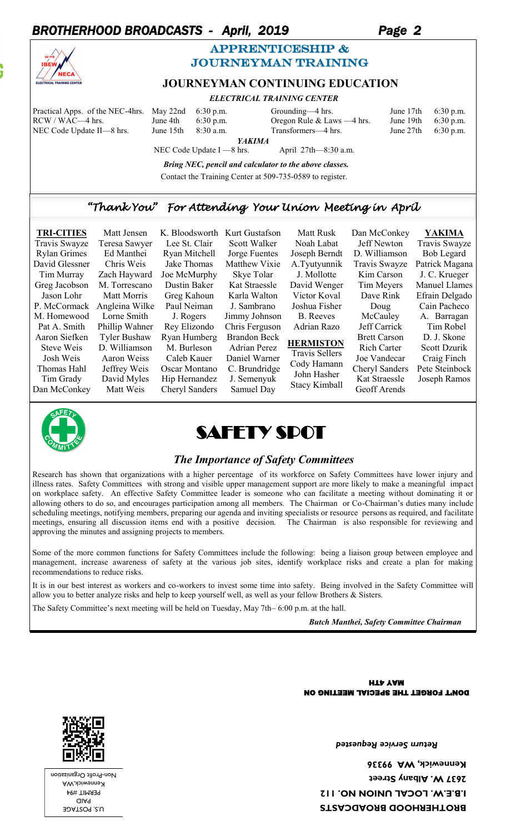# *BROTHERHOOD BROADCASTS - April, 2019 Page 2*



## APPRENTICESHIP & journeyman training

## **JOURNEYMAN CONTINUING EDUCATION**

 *ELECTRICAL TRAINING CENTER*

| Practical Apps. of the NEC-4hrs. May 22nd             |           | $6:30$ p.m.               | Grounding—4 hrs.             | June 17th | $6:30$ p.m. |  |  |  |
|-------------------------------------------------------|-----------|---------------------------|------------------------------|-----------|-------------|--|--|--|
| RCW / WAC—4 hrs.                                      | June 4th  | $6:30$ p.m.               | Oregon Rule & Laws $-4$ hrs. | June 19th | $6:30$ p.m. |  |  |  |
| NEC Code Update II—8 hrs.                             | June 15th | $8:30$ a.m.               | Transformers—4 hrs.          | June 27th | $6:30$ p.m. |  |  |  |
|                                                       |           | <b>YAKIMA</b>             |                              |           |             |  |  |  |
|                                                       |           | NEC Code Update I —8 hrs. | April $27th - 8:30$ a.m.     |           |             |  |  |  |
| Drive MEC nonell and colorizion to the change classes |           |                           |                              |           |             |  |  |  |

 *Bring NEC, pencil and calculator to the above classes.* Contact the Training Center at 509-735-0589 to register.

## *"Thank You" For Attending Your Union Meeting in April*

| <b>TRI-CITIES</b><br>Travis Swayze<br><b>Rylan Grimes</b><br>David Glessner<br>Tim Murray<br>Greg Jacobson<br>Jason Lohr<br>P. McCormack<br>M. Homewood<br>Pat A. Smith<br>Aaron Siefken<br>Steve Weis<br>Josh Weis<br>Thomas Hahl<br>Tim Grady | Matt Jensen<br>Teresa Sawyer<br>Ed Manthei<br>Chris Weis<br>Zach Hayward<br>M. Torrescano<br>Matt Morris<br>Angleina Wilke<br>Lorne Smith<br>Phillip Wahner<br><b>Tyler Bushaw</b><br>D. Williamson<br>Aaron Weiss<br>Jeffrey Weis<br>David Myles | K. Bloodsworth<br>Lee St. Clair<br>Ryan Mitchell<br>Jake Thomas<br>Joe McMurphy<br>Dustin Baker<br>Greg Kahoun<br>Paul Neiman<br>J. Rogers<br>Rey Elizondo<br>Ryan Humberg<br>M. Burleson<br>Caleb Kauer<br>Oscar Montano<br>Hip Hernandez | Kurt Gustafson<br>Scott Walker<br>Jorge Fuentes<br>Matthew Vixie<br>Skye Tolar<br>Kat Straessle<br>Karla Walton<br>J. Sambrano<br>Jimmy Johnson<br>Chris Ferguson<br><b>Brandon Beck</b><br><b>Adrian Perez</b><br>Daniel Warner<br>C. Brundridge<br>J. Semenyuk | Matt Rusk<br>Noah Labat<br>Joseph Berndt<br>A.Tyutyunnik<br>J. Mollotte<br>David Wenger<br>Victor Koval<br>Joshua Fisher<br><b>B.</b> Reeves<br>Adrian Razo<br><b>HERMISTON</b><br><b>Travis Sellers</b><br>Cody Hamann<br>John Hasher | Dan McConkey<br>Jeff Newton<br>D. Williamson<br>Travis Swayze<br>Kim Carson<br>Tim Meyers<br>Dave Rink<br>Doug<br>McCauley<br>Jeff Carrick<br><b>Brett Carson</b><br><b>Rich Carter</b><br>Joe Vandecar<br><b>Cheryl Sanders</b><br>Kat Straessle | YAKIMA<br>Travis Swayze<br><b>Bob Legard</b><br>Patrick Magana<br>J. C. Krueger<br><b>Manuel Llames</b><br>Efrain Delgado<br>Cain Pacheco<br>A. Barragan<br>Tim Robel<br>D. J. Skone<br>Scott Dzurik<br>Craig Finch<br>Pete Steinbock<br>Joseph Ramos |
|-------------------------------------------------------------------------------------------------------------------------------------------------------------------------------------------------------------------------------------------------|---------------------------------------------------------------------------------------------------------------------------------------------------------------------------------------------------------------------------------------------------|--------------------------------------------------------------------------------------------------------------------------------------------------------------------------------------------------------------------------------------------|------------------------------------------------------------------------------------------------------------------------------------------------------------------------------------------------------------------------------------------------------------------|----------------------------------------------------------------------------------------------------------------------------------------------------------------------------------------------------------------------------------------|---------------------------------------------------------------------------------------------------------------------------------------------------------------------------------------------------------------------------------------------------|-------------------------------------------------------------------------------------------------------------------------------------------------------------------------------------------------------------------------------------------------------|
|                                                                                                                                                                                                                                                 |                                                                                                                                                                                                                                                   |                                                                                                                                                                                                                                            |                                                                                                                                                                                                                                                                  | <b>Stacy Kimball</b>                                                                                                                                                                                                                   |                                                                                                                                                                                                                                                   |                                                                                                                                                                                                                                                       |
| Dan McConkey                                                                                                                                                                                                                                    | Matt Weis                                                                                                                                                                                                                                         | Cheryl Sanders                                                                                                                                                                                                                             | Samuel Day                                                                                                                                                                                                                                                       |                                                                                                                                                                                                                                        | Geoff Arends                                                                                                                                                                                                                                      |                                                                                                                                                                                                                                                       |





#### *The Importance of Safety Committees*

Research has shown that organizations with a higher percentage of its workforce on Safety Committees have lower injury and illness rates. Safety Committees with strong and visible upper management support are more likely to make a meaningful impact on workplace safety. An effective Safety Committee leader is someone who can facilitate a meeting without dominating it or allowing others to do so, and encourages participation among all members. The Chairman or Co-Chairman's duties many include scheduling meetings, notifying members, preparing our agenda and inviting specialists or resource persons as required, and facilitate meetings, ensuring all discussion items end with a positive decision. The Chairman is also responsible for reviewing and approving the minutes and assigning projects to members.

Some of the more common functions for Safety Committees include the following: being a liaison group between employee and management, increase awareness of safety at the various job sites, identify workplace risks and create a plan for making recommendations to reduce risks.

It is in our best interest as workers and co-workers to invest some time into safety. Being involved in the Safety Committee will allow you to better analyze risks and help to keep yourself well, as well as your fellow Brothers & Sisters.

The Safety Committee's next meeting will be held on Tuesday, May 7th– 6:00 p.m. at the hall.

*Butch Manthei, Safety Committee Chairman* 

DON'T FORGET THE SPECIAL MEETING ON **HTA YAM** 

U.S. POSTAGE PAID PERMIT #94 Kennewick,WA Non-Profit Organization *Return Service Requested* 

**BROTHERHOOD BROADCASTS I.B.E.W. LOCAL UNION NO. 112 2637 W. Albany Street Kennewick, WA 99336**